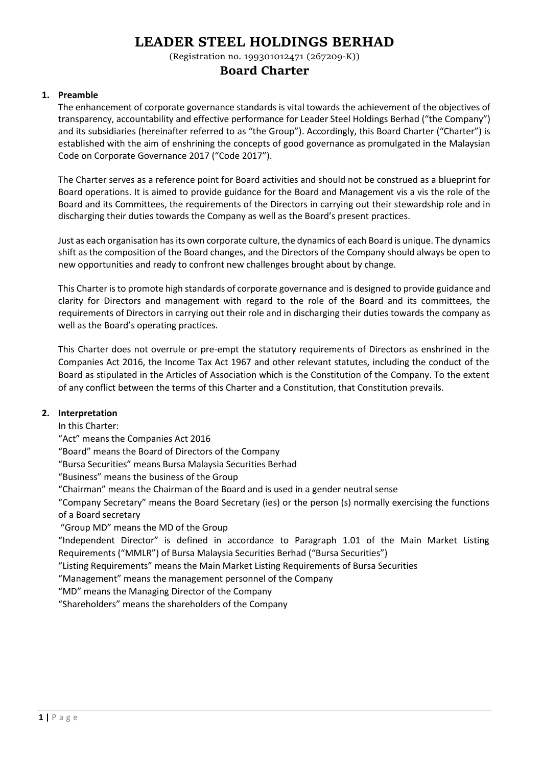(Registration no. 199301012471 (267209-K))

## **Board Charter**

## **1. Preamble**

The enhancement of corporate governance standards is vital towards the achievement of the objectives of transparency, accountability and effective performance for Leader Steel Holdings Berhad ("the Company") and its subsidiaries (hereinafter referred to as "the Group"). Accordingly, this Board Charter ("Charter") is established with the aim of enshrining the concepts of good governance as promulgated in the Malaysian Code on Corporate Governance 2017 ("Code 2017").

The Charter serves as a reference point for Board activities and should not be construed as a blueprint for Board operations. It is aimed to provide guidance for the Board and Management vis a vis the role of the Board and its Committees, the requirements of the Directors in carrying out their stewardship role and in discharging their duties towards the Company as well as the Board's present practices.

Just as each organisation has its own corporate culture, the dynamics of each Board is unique. The dynamics shift as the composition of the Board changes, and the Directors of the Company should always be open to new opportunities and ready to confront new challenges brought about by change.

This Charter is to promote high standards of corporate governance and is designed to provide guidance and clarity for Directors and management with regard to the role of the Board and its committees, the requirements of Directors in carrying out their role and in discharging their duties towards the company as well as the Board's operating practices.

This Charter does not overrule or pre-empt the statutory requirements of Directors as enshrined in the Companies Act 2016, the Income Tax Act 1967 and other relevant statutes, including the conduct of the Board as stipulated in the Articles of Association which is the Constitution of the Company. To the extent of any conflict between the terms of this Charter and a Constitution, that Constitution prevails.

## **2. Interpretation**

In this Charter:

"Act" means the Companies Act 2016

"Board" means the Board of Directors of the Company

"Bursa Securities" means Bursa Malaysia Securities Berhad

"Business" means the business of the Group

"Chairman" means the Chairman of the Board and is used in a gender neutral sense

"Company Secretary" means the Board Secretary (ies) or the person (s) normally exercising the functions of a Board secretary

"Group MD" means the MD of the Group

"Independent Director" is defined in accordance to Paragraph 1.01 of the Main Market Listing Requirements ("MMLR") of Bursa Malaysia Securities Berhad ("Bursa Securities")

"Listing Requirements" means the Main Market Listing Requirements of Bursa Securities

"Management" means the management personnel of the Company

"MD" means the Managing Director of the Company

"Shareholders" means the shareholders of the Company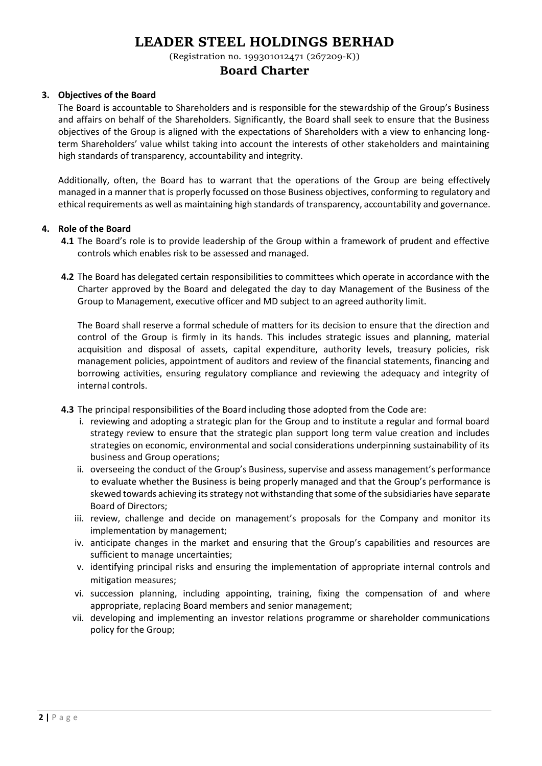(Registration no. 199301012471 (267209-K))

## **Board Charter**

#### **3. Objectives of the Board**

The Board is accountable to Shareholders and is responsible for the stewardship of the Group's Business and affairs on behalf of the Shareholders. Significantly, the Board shall seek to ensure that the Business objectives of the Group is aligned with the expectations of Shareholders with a view to enhancing longterm Shareholders' value whilst taking into account the interests of other stakeholders and maintaining high standards of transparency, accountability and integrity.

Additionally, often, the Board has to warrant that the operations of the Group are being effectively managed in a manner that is properly focussed on those Business objectives, conforming to regulatory and ethical requirements as well as maintaining high standards of transparency, accountability and governance.

#### **4. Role of the Board**

- **4.1** The Board's role is to provide leadership of the Group within a framework of prudent and effective controls which enables risk to be assessed and managed.
- **4.2** The Board has delegated certain responsibilities to committees which operate in accordance with the Charter approved by the Board and delegated the day to day Management of the Business of the Group to Management, executive officer and MD subject to an agreed authority limit.

The Board shall reserve a formal schedule of matters for its decision to ensure that the direction and control of the Group is firmly in its hands. This includes strategic issues and planning, material acquisition and disposal of assets, capital expenditure, authority levels, treasury policies, risk management policies, appointment of auditors and review of the financial statements, financing and borrowing activities, ensuring regulatory compliance and reviewing the adequacy and integrity of internal controls.

- **4.3** The principal responsibilities of the Board including those adopted from the Code are:
	- i. reviewing and adopting a strategic plan for the Group and to institute a regular and formal board strategy review to ensure that the strategic plan support long term value creation and includes strategies on economic, environmental and social considerations underpinning sustainability of its business and Group operations;
	- ii. overseeing the conduct of the Group's Business, supervise and assess management's performance to evaluate whether the Business is being properly managed and that the Group's performance is skewed towards achieving its strategy not withstanding that some of the subsidiaries have separate Board of Directors;
	- iii. review, challenge and decide on management's proposals for the Company and monitor its implementation by management;
	- iv. anticipate changes in the market and ensuring that the Group's capabilities and resources are sufficient to manage uncertainties;
	- v. identifying principal risks and ensuring the implementation of appropriate internal controls and mitigation measures;
	- vi. succession planning, including appointing, training, fixing the compensation of and where appropriate, replacing Board members and senior management;
	- vii. developing and implementing an investor relations programme or shareholder communications policy for the Group;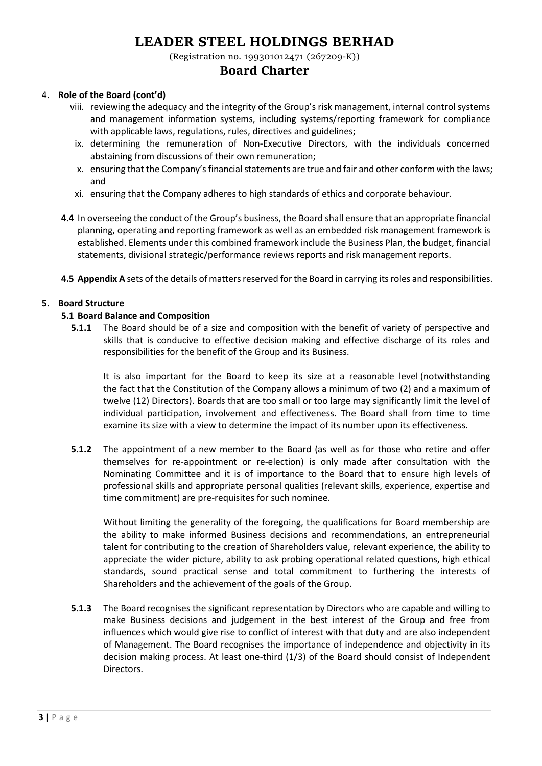(Registration no. 199301012471 (267209-K))

## **Board Charter**

### 4. **Role of the Board (cont'd)**

- viii. reviewing the adequacy and the integrity of the Group's risk management, internal control systems and management information systems, including systems/reporting framework for compliance with applicable laws, regulations, rules, directives and guidelines;
- ix. determining the remuneration of Non-Executive Directors, with the individuals concerned abstaining from discussions of their own remuneration;
- x. ensuring that the Company's financial statements are true and fair and other conform with the laws; and
- xi. ensuring that the Company adheres to high standards of ethics and corporate behaviour.
- **4.4** In overseeing the conduct of the Group's business, the Board shall ensure that an appropriate financial planning, operating and reporting framework as well as an embedded risk management framework is established. Elements under this combined framework include the Business Plan, the budget, financial statements, divisional strategic/performance reviews reports and risk management reports.
- **4.5 Appendix A** sets of the details of matters reserved for the Board in carrying its roles and responsibilities.

## **5. Board Structure**

#### **5.1 Board Balance and Composition**

**5.1.1** The Board should be of a size and composition with the benefit of variety of perspective and skills that is conducive to effective decision making and effective discharge of its roles and responsibilities for the benefit of the Group and its Business.

It is also important for the Board to keep its size at a reasonable level (notwithstanding the fact that the Constitution of the Company allows a minimum of two (2) and a maximum of twelve (12) Directors). Boards that are too small or too large may significantly limit the level of individual participation, involvement and effectiveness. The Board shall from time to time examine its size with a view to determine the impact of its number upon its effectiveness.

**5.1.2** The appointment of a new member to the Board (as well as for those who retire and offer themselves for re-appointment or re-election) is only made after consultation with the Nominating Committee and it is of importance to the Board that to ensure high levels of professional skills and appropriate personal qualities (relevant skills, experience, expertise and time commitment) are pre-requisites for such nominee.

Without limiting the generality of the foregoing, the qualifications for Board membership are the ability to make informed Business decisions and recommendations, an entrepreneurial talent for contributing to the creation of Shareholders value, relevant experience, the ability to appreciate the wider picture, ability to ask probing operational related questions, high ethical standards, sound practical sense and total commitment to furthering the interests of Shareholders and the achievement of the goals of the Group.

**5.1.3** The Board recognises the significant representation by Directors who are capable and willing to make Business decisions and judgement in the best interest of the Group and free from influences which would give rise to conflict of interest with that duty and are also independent of Management. The Board recognises the importance of independence and objectivity in its decision making process. At least one-third (1/3) of the Board should consist of Independent Directors.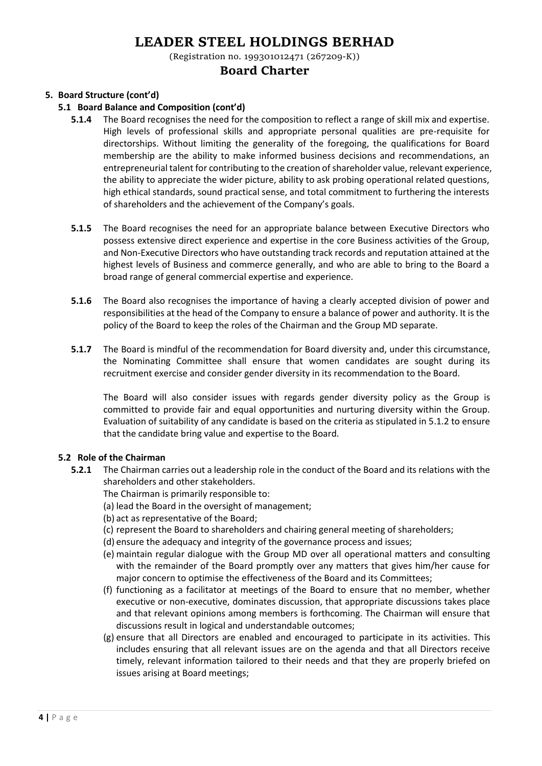(Registration no. 199301012471 (267209-K))

## **Board Charter**

## **5. Board Structure (cont'd)**

#### **5.1 Board Balance and Composition (cont'd)**

- **5.1.4** The Board recognises the need for the composition to reflect a range of skill mix and expertise. High levels of professional skills and appropriate personal qualities are pre-requisite for directorships. Without limiting the generality of the foregoing, the qualifications for Board membership are the ability to make informed business decisions and recommendations, an entrepreneurial talent for contributing to the creation of shareholder value, relevant experience, the ability to appreciate the wider picture, ability to ask probing operational related questions, high ethical standards, sound practical sense, and total commitment to furthering the interests of shareholders and the achievement of the Company's goals.
- **5.1.5** The Board recognises the need for an appropriate balance between Executive Directors who possess extensive direct experience and expertise in the core Business activities of the Group, and Non-Executive Directors who have outstanding track records and reputation attained at the highest levels of Business and commerce generally, and who are able to bring to the Board a broad range of general commercial expertise and experience.
- **5.1.6** The Board also recognises the importance of having a clearly accepted division of power and responsibilities at the head of the Company to ensure a balance of power and authority. It is the policy of the Board to keep the roles of the Chairman and the Group MD separate.
- **5.1.7** The Board is mindful of the recommendation for Board diversity and, under this circumstance, the Nominating Committee shall ensure that women candidates are sought during its recruitment exercise and consider gender diversity in its recommendation to the Board.

The Board will also consider issues with regards gender diversity policy as the Group is committed to provide fair and equal opportunities and nurturing diversity within the Group. Evaluation of suitability of any candidate is based on the criteria as stipulated in 5.1.2 to ensure that the candidate bring value and expertise to the Board.

## **5.2 Role of the Chairman**

- **5.2.1** The Chairman carries out a leadership role in the conduct of the Board and its relations with the shareholders and other stakeholders.
	- The Chairman is primarily responsible to:
	- (a) lead the Board in the oversight of management;
	- (b) act as representative of the Board;
	- (c) represent the Board to shareholders and chairing general meeting of shareholders;
	- (d) ensure the adequacy and integrity of the governance process and issues;
	- (e) maintain regular dialogue with the Group MD over all operational matters and consulting with the remainder of the Board promptly over any matters that gives him/her cause for major concern to optimise the effectiveness of the Board and its Committees;
	- (f) functioning as a facilitator at meetings of the Board to ensure that no member, whether executive or non-executive, dominates discussion, that appropriate discussions takes place and that relevant opinions among members is forthcoming. The Chairman will ensure that discussions result in logical and understandable outcomes;
	- (g) ensure that all Directors are enabled and encouraged to participate in its activities. This includes ensuring that all relevant issues are on the agenda and that all Directors receive timely, relevant information tailored to their needs and that they are properly briefed on issues arising at Board meetings;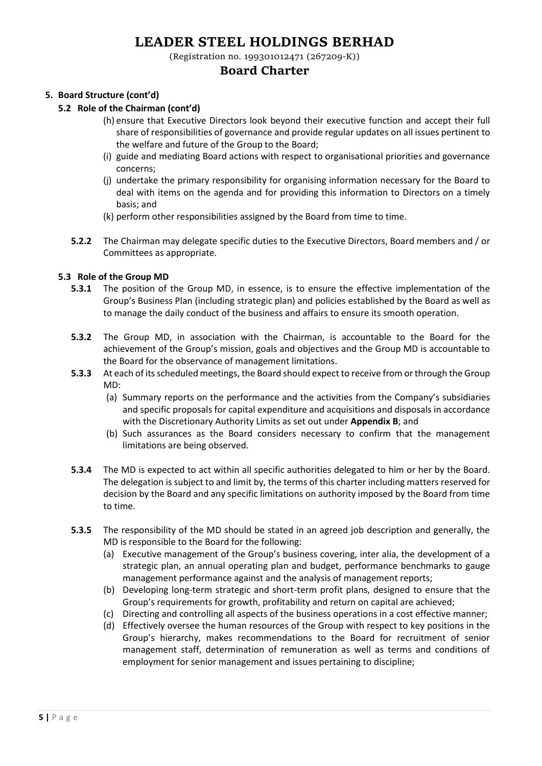(Registration no. 199301012471 (267209-K))

## **Board Charter**

## **5. Board Structure (cont'd)**

#### **5.2 Role of the Chairman (cont'd)**

- (h) ensure that Executive Directors look beyond their executive function and accept their full share of responsibilities of governance and provide regular updates on all issues pertinent to the welfare and future of the Group to the Board;
- (i) guide and mediating Board actions with respect to organisational priorities and governance concerns;
- (j) undertake the primary responsibility for organising information necessary for the Board to deal with items on the agenda and for providing this information to Directors on a timely basis; and
- (k) perform other responsibilities assigned by the Board from time to time.
- **5.2.2** The Chairman may delegate specific duties to the Executive Directors, Board members and / or Committees as appropriate.

### **5.3 Role of the Group MD**

- **5.3.1** The position of the Group MD, in essence, is to ensure the effective implementation of the Group's Business Plan (including strategic plan) and policies established by the Board as well as to manage the daily conduct of the business and affairs to ensure its smooth operation.
- **5.3.2** The Group MD, in association with the Chairman, is accountable to the Board for the achievement of the Group's mission, goals and objectives and the Group MD is accountable to the Board for the observance of management limitations.
- **5.3.3** At each of its scheduled meetings, the Board should expect to receive from or through the Group MD:
	- (a) Summary reports on the performance and the activities from the Company's subsidiaries and specific proposals for capital expenditure and acquisitions and disposals in accordance with the Discretionary Authority Limits as set out under **Appendix B**; and
	- (b) Such assurances as the Board considers necessary to confirm that the management limitations are being observed.
- **5.3.4** The MD is expected to act within all specific authorities delegated to him or her by the Board. The delegation is subject to and limit by, the terms of this charter including matters reserved for decision by the Board and any specific limitations on authority imposed by the Board from time to time.
- **5.3.5** The responsibility of the MD should be stated in an agreed job description and generally, the MD is responsible to the Board for the following:
	- (a) Executive management of the Group's business covering, inter alia, the development of a strategic plan, an annual operating plan and budget, performance benchmarks to gauge management performance against and the analysis of management reports;
	- (b) Developing long-term strategic and short-term profit plans, designed to ensure that the Group's requirements for growth, profitability and return on capital are achieved;
	- (c) Directing and controlling all aspects of the business operations in a cost effective manner;
	- (d) Effectively oversee the human resources of the Group with respect to key positions in the Group's hierarchy, makes recommendations to the Board for recruitment of senior management staff, determination of remuneration as well as terms and conditions of employment for senior management and issues pertaining to discipline;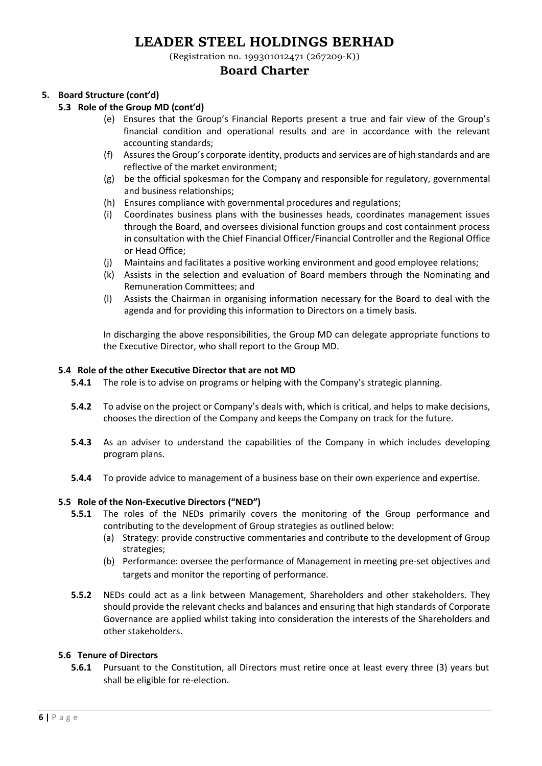(Registration no. 199301012471 (267209-K))

## **Board Charter**

## **5. Board Structure (cont'd)**

### **5.3 Role of the Group MD (cont'd)**

- (e) Ensures that the Group's Financial Reports present a true and fair view of the Group's financial condition and operational results and are in accordance with the relevant accounting standards;
- (f) Assures the Group's corporate identity, products and services are of high standards and are reflective of the market environment;
- (g) be the official spokesman for the Company and responsible for regulatory, governmental and business relationships;
- (h) Ensures compliance with governmental procedures and regulations;
- (i) Coordinates business plans with the businesses heads, coordinates management issues through the Board, and oversees divisional function groups and cost containment process in consultation with the Chief Financial Officer/Financial Controller and the Regional Office or Head Office;
- (j) Maintains and facilitates a positive working environment and good employee relations;
- (k) Assists in the selection and evaluation of Board members through the Nominating and Remuneration Committees; and
- (l) Assists the Chairman in organising information necessary for the Board to deal with the agenda and for providing this information to Directors on a timely basis.

In discharging the above responsibilities, the Group MD can delegate appropriate functions to the Executive Director, who shall report to the Group MD.

#### **5.4 Role of the other Executive Director that are not MD**

- **5.4.1** The role is to advise on programs or helping with the Company's strategic planning.
- **5.4.2** To advise on the project or Company's deals with, which is critical, and helps to make decisions, chooses the direction of the Company and keeps the Company on track for the future.
- **5.4.3** As an adviser to understand the capabilities of the Company in which includes developing program plans.
- **5.4.4** To provide advice to management of a business base on their own experience and expertise.

#### **5.5 Role of the Non-Executive Directors ("NED")**

- **5.5.1** The roles of the NEDs primarily covers the monitoring of the Group performance and contributing to the development of Group strategies as outlined below:
	- (a) Strategy: provide constructive commentaries and contribute to the development of Group strategies;
	- (b) Performance: oversee the performance of Management in meeting pre-set objectives and targets and monitor the reporting of performance.
- **5.5.2** NEDs could act as a link between Management, Shareholders and other stakeholders. They should provide the relevant checks and balances and ensuring that high standards of Corporate Governance are applied whilst taking into consideration the interests of the Shareholders and other stakeholders.

### **5.6 Tenure of Directors**

**5.6.1** Pursuant to the Constitution, all Directors must retire once at least every three (3) years but shall be eligible for re-election.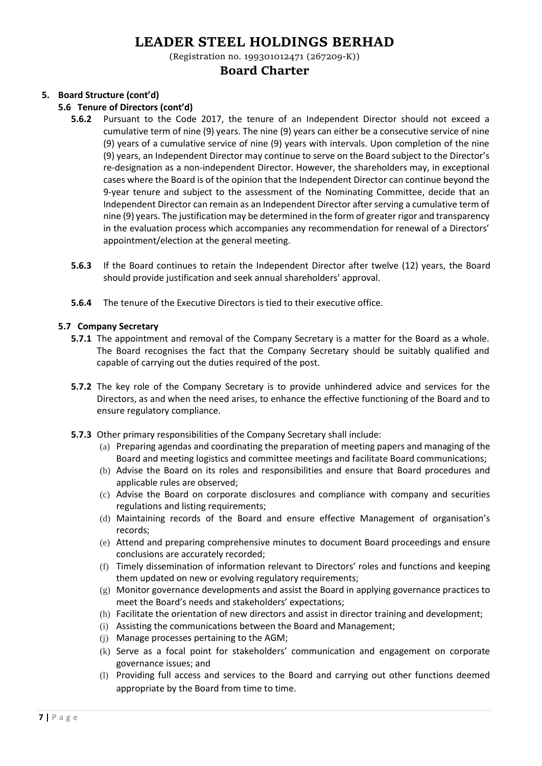(Registration no. 199301012471 (267209-K))

## **Board Charter**

## **5. Board Structure (cont'd)**

### **5.6 Tenure of Directors (cont'd)**

- **5.6.2** Pursuant to the Code 2017, the tenure of an Independent Director should not exceed a cumulative term of nine (9) years. The nine (9) years can either be a consecutive service of nine (9) years of a cumulative service of nine (9) years with intervals. Upon completion of the nine (9) years, an Independent Director may continue to serve on the Board subject to the Director's re-designation as a non-independent Director. However, the shareholders may, in exceptional cases where the Board is of the opinion that the Independent Director can continue beyond the 9-year tenure and subject to the assessment of the Nominating Committee, decide that an Independent Director can remain as an Independent Director after serving a cumulative term of nine (9) years. The justification may be determined in the form of greater rigor and transparency in the evaluation process which accompanies any recommendation for renewal of a Directors' appointment/election at the general meeting.
- **5.6.3** If the Board continues to retain the Independent Director after twelve (12) years, the Board should provide justification and seek annual shareholders' approval.
- **5.6.4** The tenure of the Executive Directors is tied to their executive office.

### **5.7 Company Secretary**

- **5.7.1** The appointment and removal of the Company Secretary is a matter for the Board as a whole. The Board recognises the fact that the Company Secretary should be suitably qualified and capable of carrying out the duties required of the post.
- **5.7.2** The key role of the Company Secretary is to provide unhindered advice and services for the Directors, as and when the need arises, to enhance the effective functioning of the Board and to ensure regulatory compliance.
- **5.7.3** Other primary responsibilities of the Company Secretary shall include:
	- (a) Preparing agendas and coordinating the preparation of meeting papers and managing of the Board and meeting logistics and committee meetings and facilitate Board communications;
	- (b) Advise the Board on its roles and responsibilities and ensure that Board procedures and applicable rules are observed;
	- (c) Advise the Board on corporate disclosures and compliance with company and securities regulations and listing requirements;
	- (d) Maintaining records of the Board and ensure effective Management of organisation's records;
	- (e) Attend and preparing comprehensive minutes to document Board proceedings and ensure conclusions are accurately recorded;
	- (f) Timely dissemination of information relevant to Directors' roles and functions and keeping them updated on new or evolving regulatory requirements;
	- (g) Monitor governance developments and assist the Board in applying governance practices to meet the Board's needs and stakeholders' expectations;
	- (h) Facilitate the orientation of new directors and assist in director training and development;
	- (i) Assisting the communications between the Board and Management;
	- (j) Manage processes pertaining to the AGM;
	- (k) Serve as a focal point for stakeholders' communication and engagement on corporate governance issues; and
	- (l) Providing full access and services to the Board and carrying out other functions deemed appropriate by the Board from time to time.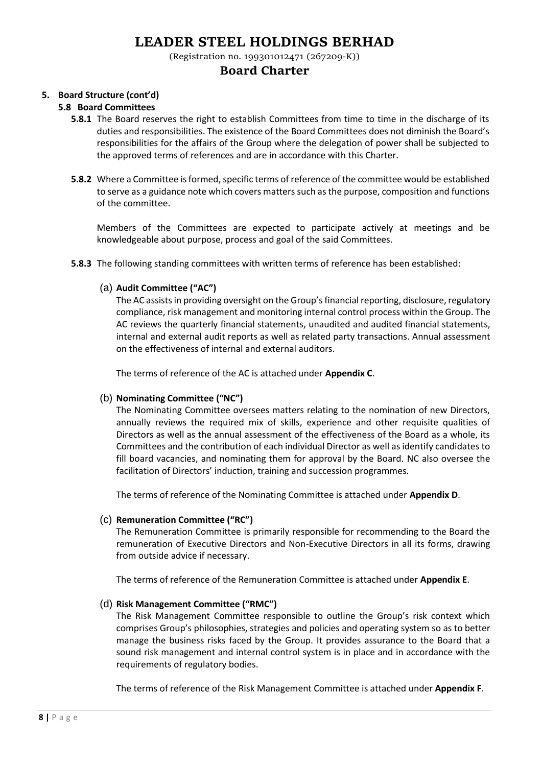(Registration no. 199301012471 (267209-K))

## **Board Charter**

## **5. Board Structure (cont'd)**

### **5.8 Board Committees**

- **5.8.1** The Board reserves the right to establish Committees from time to time in the discharge of its duties and responsibilities. The existence of the Board Committees does not diminish the Board's responsibilities for the affairs of the Group where the delegation of power shall be subjected to the approved terms of references and are in accordance with this Charter.
- **5.8.2** Where a Committee is formed, specific terms of reference of the committee would be established to serve as a guidance note which covers matters such as the purpose, composition and functions of the committee.

Members of the Committees are expected to participate actively at meetings and be knowledgeable about purpose, process and goal of the said Committees.

**5.8.3** The following standing committees with written terms of reference has been established:

### (a) **Audit Committee ("AC")**

The AC assists in providing oversight on the Group's financial reporting, disclosure, regulatory compliance, risk management and monitoring internal control process within the Group. The AC reviews the quarterly financial statements, unaudited and audited financial statements, internal and external audit reports as well as related party transactions. Annual assessment on the effectiveness of internal and external auditors.

The terms of reference of the AC is attached under **Appendix C**.

## (b) **Nominating Committee ("NC")**

The Nominating Committee oversees matters relating to the nomination of new Directors, annually reviews the required mix of skills, experience and other requisite qualities of Directors as well as the annual assessment of the effectiveness of the Board as a whole, its Committees and the contribution of each individual Director as well as identify candidates to fill board vacancies, and nominating them for approval by the Board. NC also oversee the facilitation of Directors' induction, training and succession programmes.

The terms of reference of the Nominating Committee is attached under **Appendix D**.

## (c) **Remuneration Committee ("RC")**

The Remuneration Committee is primarily responsible for recommending to the Board the remuneration of Executive Directors and Non-Executive Directors in all its forms, drawing from outside advice if necessary.

The terms of reference of the Remuneration Committee is attached under **Appendix E**.

## (d) **Risk Management Committee ("RMC")**

The Risk Management Committee responsible to outline the Group's risk context which comprises Group's philosophies, strategies and policies and operating system so as to better manage the business risks faced by the Group. It provides assurance to the Board that a sound risk management and internal control system is in place and in accordance with the requirements of regulatory bodies.

The terms of reference of the Risk Management Committee is attached under **Appendix F**.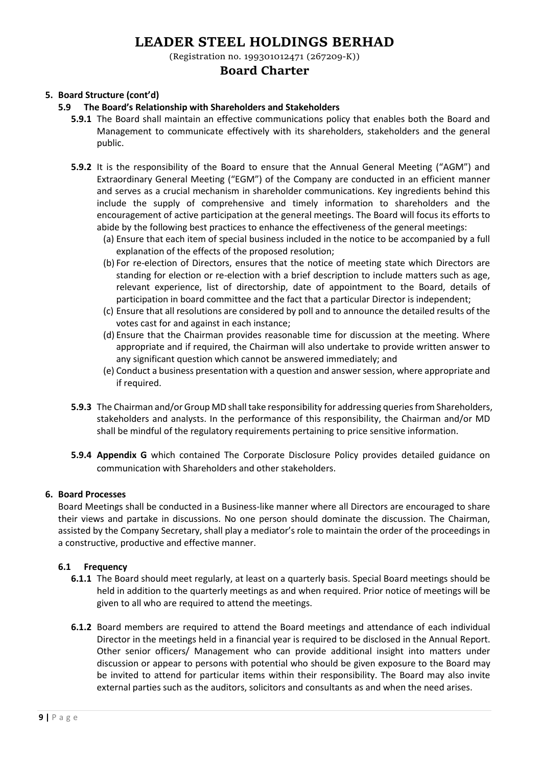(Registration no. 199301012471 (267209-K))

## **Board Charter**

## **5. Board Structure (cont'd)**

### **5.9 The Board's Relationship with Shareholders and Stakeholders**

- **5.9.1** The Board shall maintain an effective communications policy that enables both the Board and Management to communicate effectively with its shareholders, stakeholders and the general public.
- **5.9.2** It is the responsibility of the Board to ensure that the Annual General Meeting ("AGM") and Extraordinary General Meeting ("EGM") of the Company are conducted in an efficient manner and serves as a crucial mechanism in shareholder communications. Key ingredients behind this include the supply of comprehensive and timely information to shareholders and the encouragement of active participation at the general meetings. The Board will focus its efforts to abide by the following best practices to enhance the effectiveness of the general meetings:
	- (a) Ensure that each item of special business included in the notice to be accompanied by a full explanation of the effects of the proposed resolution;
	- (b) For re-election of Directors, ensures that the notice of meeting state which Directors are standing for election or re-election with a brief description to include matters such as age, relevant experience, list of directorship, date of appointment to the Board, details of participation in board committee and the fact that a particular Director is independent;
	- (c) Ensure that all resolutions are considered by poll and to announce the detailed results of the votes cast for and against in each instance;
	- (d) Ensure that the Chairman provides reasonable time for discussion at the meeting. Where appropriate and if required, the Chairman will also undertake to provide written answer to any significant question which cannot be answered immediately; and
	- (e) Conduct a business presentation with a question and answer session, where appropriate and if required.
- **5.9.3** The Chairman and/or Group MD shall take responsibility for addressing queries from Shareholders, stakeholders and analysts. In the performance of this responsibility, the Chairman and/or MD shall be mindful of the regulatory requirements pertaining to price sensitive information.
- **5.9.4 Appendix G** which contained The Corporate Disclosure Policy provides detailed guidance on communication with Shareholders and other stakeholders.

#### **6. Board Processes**

Board Meetings shall be conducted in a Business-like manner where all Directors are encouraged to share their views and partake in discussions. No one person should dominate the discussion. The Chairman, assisted by the Company Secretary, shall play a mediator's role to maintain the order of the proceedings in a constructive, productive and effective manner.

#### **6.1 Frequency**

- **6.1.1** The Board should meet regularly, at least on a quarterly basis. Special Board meetings should be held in addition to the quarterly meetings as and when required. Prior notice of meetings will be given to all who are required to attend the meetings.
- **6.1.2** Board members are required to attend the Board meetings and attendance of each individual Director in the meetings held in a financial year is required to be disclosed in the Annual Report. Other senior officers/ Management who can provide additional insight into matters under discussion or appear to persons with potential who should be given exposure to the Board may be invited to attend for particular items within their responsibility. The Board may also invite external parties such as the auditors, solicitors and consultants as and when the need arises.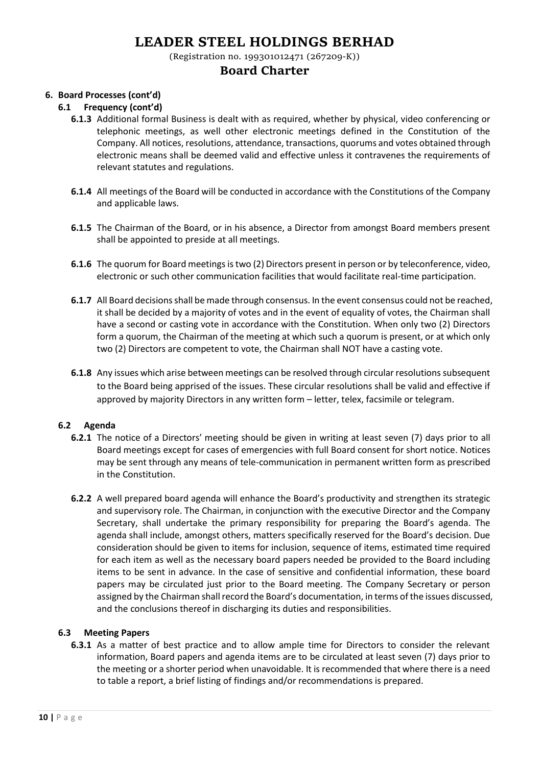(Registration no. 199301012471 (267209-K))

## **Board Charter**

### **6. Board Processes (cont'd)**

### **6.1 Frequency (cont'd)**

- **6.1.3** Additional formal Business is dealt with as required, whether by physical, video conferencing or telephonic meetings, as well other electronic meetings defined in the Constitution of the Company. All notices, resolutions, attendance, transactions, quorums and votes obtained through electronic means shall be deemed valid and effective unless it contravenes the requirements of relevant statutes and regulations.
- **6.1.4** All meetings of the Board will be conducted in accordance with the Constitutions of the Company and applicable laws.
- **6.1.5** The Chairman of the Board, or in his absence, a Director from amongst Board members present shall be appointed to preside at all meetings.
- **6.1.6** The quorum for Board meetings is two (2) Directors present in person or by teleconference, video, electronic or such other communication facilities that would facilitate real-time participation.
- **6.1.7** All Board decisions shall be made through consensus. In the event consensus could not be reached, it shall be decided by a majority of votes and in the event of equality of votes, the Chairman shall have a second or casting vote in accordance with the Constitution. When only two (2) Directors form a quorum, the Chairman of the meeting at which such a quorum is present, or at which only two (2) Directors are competent to vote, the Chairman shall NOT have a casting vote.
- **6.1.8** Any issues which arise between meetings can be resolved through circular resolutions subsequent to the Board being apprised of the issues. These circular resolutions shall be valid and effective if approved by majority Directors in any written form – letter, telex, facsimile or telegram.

#### **6.2 Agenda**

- **6.2.1** The notice of a Directors' meeting should be given in writing at least seven (7) days prior to all Board meetings except for cases of emergencies with full Board consent for short notice. Notices may be sent through any means of tele-communication in permanent written form as prescribed in the Constitution.
- **6.2.2** A well prepared board agenda will enhance the Board's productivity and strengthen its strategic and supervisory role. The Chairman, in conjunction with the executive Director and the Company Secretary, shall undertake the primary responsibility for preparing the Board's agenda. The agenda shall include, amongst others, matters specifically reserved for the Board's decision. Due consideration should be given to items for inclusion, sequence of items, estimated time required for each item as well as the necessary board papers needed be provided to the Board including items to be sent in advance. In the case of sensitive and confidential information, these board papers may be circulated just prior to the Board meeting. The Company Secretary or person assigned by the Chairman shall record the Board's documentation, in terms of the issues discussed, and the conclusions thereof in discharging its duties and responsibilities.

#### **6.3 Meeting Papers**

**6.3.1** As a matter of best practice and to allow ample time for Directors to consider the relevant information, Board papers and agenda items are to be circulated at least seven (7) days prior to the meeting or a shorter period when unavoidable. It is recommended that where there is a need to table a report, a brief listing of findings and/or recommendations is prepared.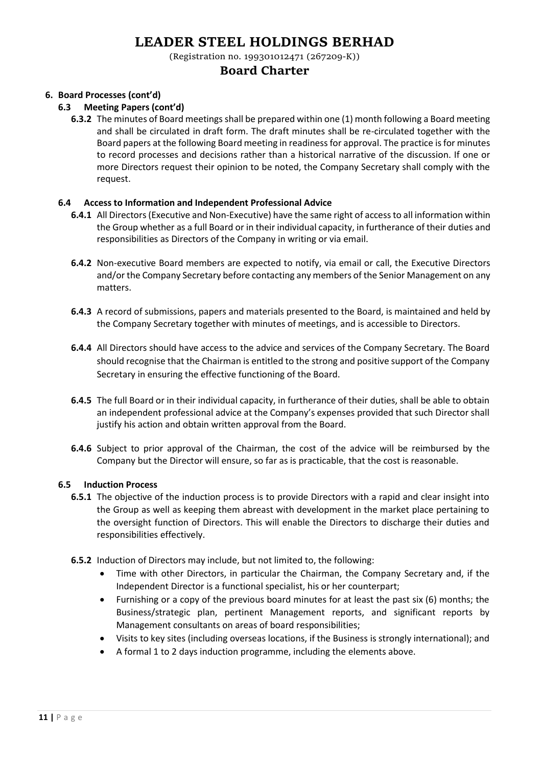(Registration no. 199301012471 (267209-K))

## **Board Charter**

## **6. Board Processes (cont'd)**

#### **6.3 Meeting Papers (cont'd)**

**6.3.2** The minutes of Board meetings shall be prepared within one (1) month following a Board meeting and shall be circulated in draft form. The draft minutes shall be re-circulated together with the Board papers at the following Board meeting in readiness for approval. The practice is for minutes to record processes and decisions rather than a historical narrative of the discussion. If one or more Directors request their opinion to be noted, the Company Secretary shall comply with the request.

#### **6.4 Access to Information and Independent Professional Advice**

- **6.4.1** All Directors (Executive and Non-Executive) have the same right of access to all information within the Group whether as a full Board or in their individual capacity, in furtherance of their duties and responsibilities as Directors of the Company in writing or via email.
- **6.4.2** Non-executive Board members are expected to notify, via email or call, the Executive Directors and/or the Company Secretary before contacting any members of the Senior Management on any matters.
- **6.4.3** A record of submissions, papers and materials presented to the Board, is maintained and held by the Company Secretary together with minutes of meetings, and is accessible to Directors.
- **6.4.4** All Directors should have access to the advice and services of the Company Secretary. The Board should recognise that the Chairman is entitled to the strong and positive support of the Company Secretary in ensuring the effective functioning of the Board.
- **6.4.5** The full Board or in their individual capacity, in furtherance of their duties, shall be able to obtain an independent professional advice at the Company's expenses provided that such Director shall justify his action and obtain written approval from the Board.
- **6.4.6** Subject to prior approval of the Chairman, the cost of the advice will be reimbursed by the Company but the Director will ensure, so far as is practicable, that the cost is reasonable.

#### **6.5 Induction Process**

- **6.5.1** The objective of the induction process is to provide Directors with a rapid and clear insight into the Group as well as keeping them abreast with development in the market place pertaining to the oversight function of Directors. This will enable the Directors to discharge their duties and responsibilities effectively.
- **6.5.2** Induction of Directors may include, but not limited to, the following:
	- Time with other Directors, in particular the Chairman, the Company Secretary and, if the Independent Director is a functional specialist, his or her counterpart;
	- Furnishing or a copy of the previous board minutes for at least the past six (6) months; the Business/strategic plan, pertinent Management reports, and significant reports by Management consultants on areas of board responsibilities;
	- Visits to key sites (including overseas locations, if the Business is strongly international); and
	- A formal 1 to 2 days induction programme, including the elements above.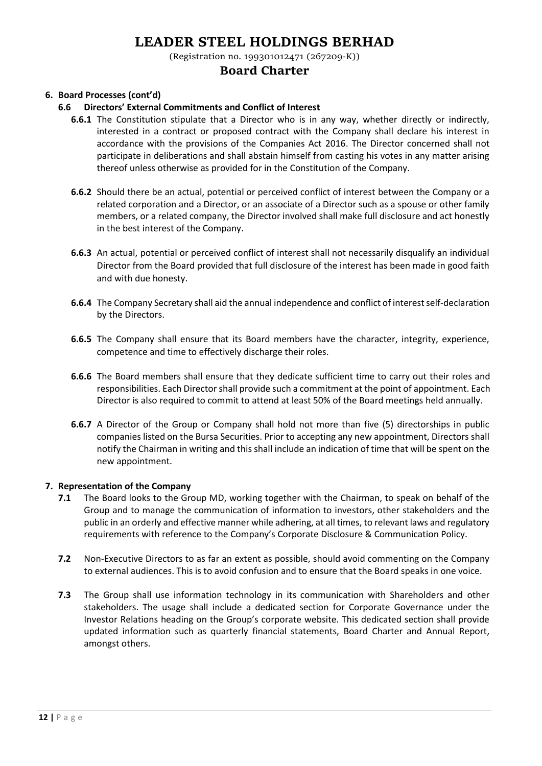(Registration no. 199301012471 (267209-K))

## **Board Charter**

### **6. Board Processes (cont'd)**

#### **6.6 Directors' External Commitments and Conflict of Interest**

- **6.6.1** The Constitution stipulate that a Director who is in any way, whether directly or indirectly, interested in a contract or proposed contract with the Company shall declare his interest in accordance with the provisions of the Companies Act 2016. The Director concerned shall not participate in deliberations and shall abstain himself from casting his votes in any matter arising thereof unless otherwise as provided for in the Constitution of the Company.
- **6.6.2** Should there be an actual, potential or perceived conflict of interest between the Company or a related corporation and a Director, or an associate of a Director such as a spouse or other family members, or a related company, the Director involved shall make full disclosure and act honestly in the best interest of the Company.
- **6.6.3** An actual, potential or perceived conflict of interest shall not necessarily disqualify an individual Director from the Board provided that full disclosure of the interest has been made in good faith and with due honesty.
- **6.6.4** The Company Secretary shall aid the annual independence and conflict of interest self-declaration by the Directors.
- **6.6.5** The Company shall ensure that its Board members have the character, integrity, experience, competence and time to effectively discharge their roles.
- **6.6.6** The Board members shall ensure that they dedicate sufficient time to carry out their roles and responsibilities. Each Director shall provide such a commitment at the point of appointment. Each Director is also required to commit to attend at least 50% of the Board meetings held annually.
- **6.6.7** A Director of the Group or Company shall hold not more than five (5) directorships in public companies listed on the Bursa Securities. Prior to accepting any new appointment, Directors shall notify the Chairman in writing and this shall include an indication of time that will be spent on the new appointment.

#### **7. Representation of the Company**

- **7.1** The Board looks to the Group MD, working together with the Chairman, to speak on behalf of the Group and to manage the communication of information to investors, other stakeholders and the public in an orderly and effective manner while adhering, at all times, to relevant laws and regulatory requirements with reference to the Company's Corporate Disclosure & Communication Policy.
- **7.2** Non-Executive Directors to as far an extent as possible, should avoid commenting on the Company to external audiences. This is to avoid confusion and to ensure that the Board speaks in one voice.
- **7.3** The Group shall use information technology in its communication with Shareholders and other stakeholders. The usage shall include a dedicated section for Corporate Governance under the Investor Relations heading on the Group's corporate website. This dedicated section shall provide updated information such as quarterly financial statements, Board Charter and Annual Report, amongst others.